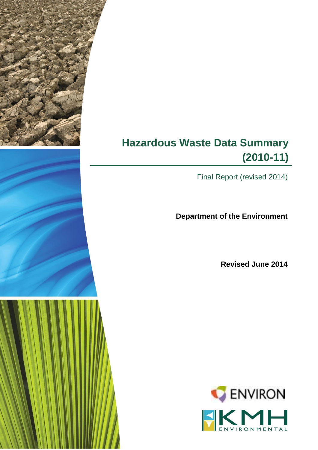# **Hazardous Waste Data Summary (2010-11)**

Final Report (revised 2014)

**Department of the Environment**

**Revised June 2014**

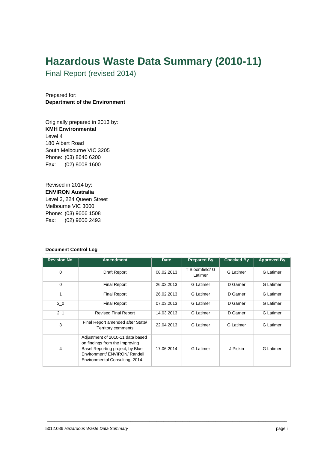## **Hazardous Waste Data Summary (2010-11)**

Final Report (revised 2014)

Prepared for: **Department of the Environment**

Originally prepared in 2013 by: **KMH Environmental** Level 4 180 Albert Road South Melbourne VIC 3205 Phone: (03) 8640 6200 Fax: (02) 8008 1600

Revised in 2014 by: **ENVIRON Australia** Level 3, 224 Queen Street Melbourne VIC 3000 Phone: (03) 9606 1508 Fax: (02) 9600 2493

#### **Document Control Log**

| <b>Revision No.</b> | <b>Amendment</b>                                                                                                                                                           | <b>Date</b> | <b>Prepared By</b>         | <b>Checked By</b> | <b>Approved By</b> |
|---------------------|----------------------------------------------------------------------------------------------------------------------------------------------------------------------------|-------------|----------------------------|-------------------|--------------------|
| 0                   | Draft Report                                                                                                                                                               | 08.02.2013  | T Bloomfield/ G<br>Latimer | <b>G</b> Latimer  | <b>G</b> Latimer   |
| $\Omega$            | <b>Final Report</b>                                                                                                                                                        | 26.02.2013  | <b>G</b> Latimer           | D Garner          | <b>G</b> Latimer   |
| 1                   | <b>Final Report</b>                                                                                                                                                        | 26.02.2013  | <b>G</b> Latimer           | D Garner          | <b>G</b> Latimer   |
| 2 <sub>0</sub>      | <b>Final Report</b>                                                                                                                                                        | 07.03.2013  | <b>G</b> Latimer           | D Garner          | <b>G</b> Latimer   |
| $2-1$               | <b>Revised Final Report</b>                                                                                                                                                | 14.03.2013  | G Latimer                  | D Garner          | <b>G</b> Latimer   |
| 3                   | Final Report amended after State/<br>Territory comments                                                                                                                    | 22.04.2013  | <b>G</b> Latimer           | <b>G</b> Latimer  | <b>G</b> Latimer   |
| $\overline{4}$      | Adjustment of 2010-11 data based<br>on findings from the Improving<br>Basel Reporting project, by Blue<br>Environment/ ENVIRON/ Randell<br>Environmental Consulting, 2014. | 17.06.2014  | <b>G</b> Latimer           | J Pickin          | <b>G</b> Latimer   |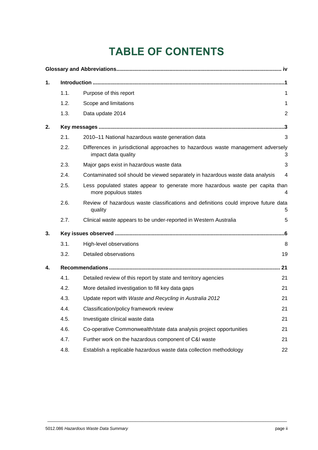# **TABLE OF CONTENTS**

| 1. |      |                                                                                                         |                |
|----|------|---------------------------------------------------------------------------------------------------------|----------------|
|    | 1.1. | Purpose of this report                                                                                  | 1              |
|    | 1.2. | Scope and limitations                                                                                   | 1              |
|    | 1.3. | Data update 2014                                                                                        | $\overline{2}$ |
| 2. |      |                                                                                                         |                |
|    | 2.1. | 2010-11 National hazardous waste generation data                                                        | 3              |
|    | 2.2. | Differences in jurisdictional approaches to hazardous waste management adversely<br>impact data quality | З              |
|    | 2.3. | Major gaps exist in hazardous waste data                                                                | 3              |
|    | 2.4. | Contaminated soil should be viewed separately in hazardous waste data analysis                          | 4              |
|    | 2.5. | Less populated states appear to generate more hazardous waste per capita than<br>more populous states   | 4              |
|    | 2.6. | Review of hazardous waste classifications and definitions could improve future data<br>quality          | 5              |
|    | 2.7. | Clinical waste appears to be under-reported in Western Australia                                        | 5              |
| 3. |      |                                                                                                         |                |
|    | 3.1. | High-level observations                                                                                 | 8              |
|    | 3.2. | Detailed observations                                                                                   | 19             |
| 4. |      |                                                                                                         | 21             |
|    | 4.1. | Detailed review of this report by state and territory agencies                                          | 21             |
|    | 4.2. | More detailed investigation to fill key data gaps                                                       | 21             |
|    | 4.3. | Update report with Waste and Recycling in Australia 2012                                                | 21             |
|    | 4.4. | Classification/policy framework review                                                                  | 21             |
|    | 4.5. | Investigate clinical waste data                                                                         | 21             |
|    | 4.6. | Co-operative Commonwealth/state data analysis project opportunities                                     | 21             |
|    | 4.7. | Further work on the hazardous component of C&I waste                                                    | 21             |
|    | 4.8. | Establish a replicable hazardous waste data collection methodology                                      | 22             |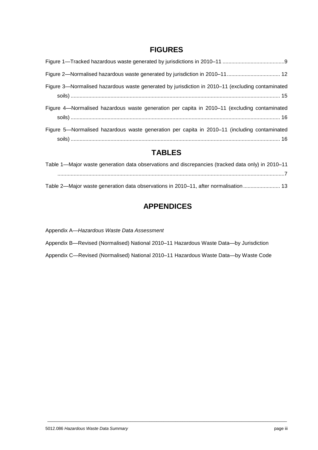## **FIGURES**

| Figure 3—Normalised hazardous waste generated by jurisdiction in 2010–11 (excluding contaminated |
|--------------------------------------------------------------------------------------------------|
| Figure 4—Normalised hazardous waste generation per capita in 2010–11 (excluding contaminated     |
| Figure 5—Normalised hazardous waste generation per capita in 2010–11 (including contaminated     |

## **TABLES**

| Table 1—Major waste generation data observations and discrepancies (tracked data only) in 2010–11 |
|---------------------------------------------------------------------------------------------------|
|                                                                                                   |
| Table 2—Major waste generation data observations in 2010–11, after normalisation  13              |

## **APPENDICES**

Appendix A—*Hazardous Waste Data Assessment*

Appendix B—Revised (Normalised) National 2010–11 Hazardous Waste Data—by Jurisdiction

Appendix C—Revised (Normalised) National 2010–11 Hazardous Waste Data—by Waste Code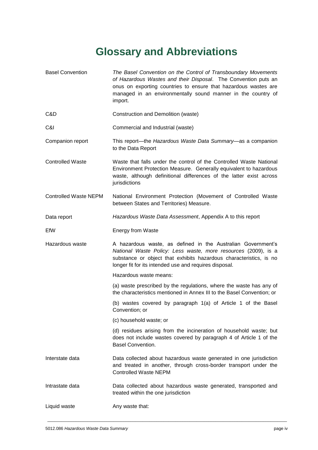# **Glossary and Abbreviations**

<span id="page-4-0"></span>

| <b>Basel Convention</b>      | The Basel Convention on the Control of Transboundary Movements<br>of Hazardous Wastes and their Disposal. The Convention puts an<br>onus on exporting countries to ensure that hazardous wastes are<br>managed in an environmentally sound manner in the country of<br>import. |
|------------------------------|--------------------------------------------------------------------------------------------------------------------------------------------------------------------------------------------------------------------------------------------------------------------------------|
| C&D                          | Construction and Demolition (waste)                                                                                                                                                                                                                                            |
| C&I                          | Commercial and Industrial (waste)                                                                                                                                                                                                                                              |
| Companion report             | This report—the Hazardous Waste Data Summary—as a companion<br>to the Data Report                                                                                                                                                                                              |
| <b>Controlled Waste</b>      | Waste that falls under the control of the Controlled Waste National<br>Environment Protection Measure. Generally equivalent to hazardous<br>waste, although definitional differences of the latter exist across<br>jurisdictions                                               |
| <b>Controlled Waste NEPM</b> | National Environment Protection (Movement of Controlled Waste<br>between States and Territories) Measure.                                                                                                                                                                      |
| Data report                  | Hazardous Waste Data Assessment, Appendix A to this report                                                                                                                                                                                                                     |
| EfW                          | Energy from Waste                                                                                                                                                                                                                                                              |
| Hazardous waste              | A hazardous waste, as defined in the Australian Government's<br>National Waste Policy: Less waste, more resources (2009), is a<br>substance or object that exhibits hazardous characteristics, is no<br>longer fit for its intended use and requires disposal.                 |
|                              | Hazardous waste means:                                                                                                                                                                                                                                                         |
|                              | (a) waste prescribed by the regulations, where the waste has any of<br>the characteristics mentioned in Annex III to the Basel Convention; or                                                                                                                                  |
|                              | (b) wastes covered by paragraph 1(a) of Article 1 of the Basel<br>Convention; or                                                                                                                                                                                               |
|                              | (c) household waste; or                                                                                                                                                                                                                                                        |
|                              | (d) residues arising from the incineration of household waste; but<br>does not include wastes covered by paragraph 4 of Article 1 of the<br><b>Basel Convention.</b>                                                                                                           |
| Interstate data              | Data collected about hazardous waste generated in one jurisdiction<br>and treated in another, through cross-border transport under the<br><b>Controlled Waste NEPM</b>                                                                                                         |
| Intrastate data              | Data collected about hazardous waste generated, transported and<br>treated within the one jurisdiction                                                                                                                                                                         |
| Liquid waste                 | Any waste that:                                                                                                                                                                                                                                                                |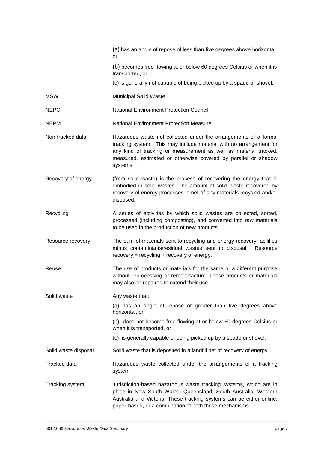|                      | (a) has an angle of repose of less than five degrees above horizontal,<br>or                                                                                                                                                                                                             |
|----------------------|------------------------------------------------------------------------------------------------------------------------------------------------------------------------------------------------------------------------------------------------------------------------------------------|
|                      | (b) becomes free-flowing at or below 60 degrees Celsius or when it is<br>transported, or                                                                                                                                                                                                 |
|                      | (c) is generally not capable of being picked up by a spade or shovel.                                                                                                                                                                                                                    |
| <b>MSW</b>           | <b>Municipal Solid Waste</b>                                                                                                                                                                                                                                                             |
| <b>NEPC</b>          | <b>National Environment Protection Council</b>                                                                                                                                                                                                                                           |
| <b>NEPM</b>          | <b>National Environment Protection Measure</b>                                                                                                                                                                                                                                           |
| Non-tracked data     | Hazardous waste not collected under the arrangements of a formal<br>tracking system. This may include material with no arrangement for<br>any kind of tracking or measurement as well as material tracked,<br>measured, estimated or otherwise covered by parallel or shadow<br>systems. |
| Recovery of energy   | (from solid waste) is the process of recovering the energy that is<br>embodied in solid wastes. The amount of solid waste recovered by<br>recovery of energy processes is net of any materials recycled and/or<br>disposed.                                                              |
| Recycling            | A series of activities by which solid wastes are collected, sorted,<br>processed (including composting), and converted into raw materials<br>to be used in the production of new products.                                                                                               |
| Resource recovery    | The sum of materials sent to recycling and energy recovery facilities<br>minus contaminants/residual wastes sent to disposal. Resource<br>$recovers = recycling + recovers of energy.$                                                                                                   |
| Reuse                | The use of products or materials for the same or a different purpose<br>without reprocessing or remanufacture. These products or materials<br>may also be repaired to extend their use.                                                                                                  |
| Solid waste          | Any waste that:                                                                                                                                                                                                                                                                          |
|                      | (a) has an angle of repose of greater than five degrees above<br>horizontal, or                                                                                                                                                                                                          |
|                      | (b) does not become free-flowing at or below 60 degrees Celsius or<br>when it is transported, or                                                                                                                                                                                         |
|                      | (c) is generally capable of being picked up by a spade or shovel.                                                                                                                                                                                                                        |
| Solid waste disposal | Solid waste that is deposited in a landfill net of recovery of energy.                                                                                                                                                                                                                   |
| Tracked data         | Hazardous waste collected under the arrangements of a tracking<br>system                                                                                                                                                                                                                 |
| Tracking system      | Jurisdiction-based hazardous waste tracking systems, which are in<br>place in New South Wales, Queensland, South Australia, Western<br>Australia and Victoria. These tracking systems can be either online,<br>paper-based, or a combination of both these mechanisms.                   |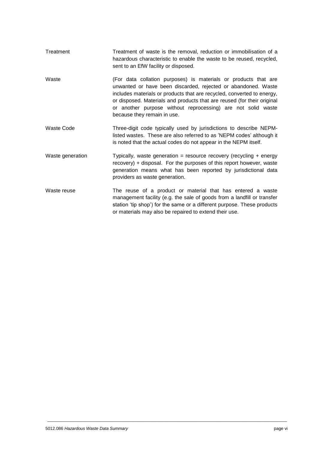| Treatment         | Treatment of waste is the removal, reduction or immobilisation of a<br>hazardous characteristic to enable the waste to be reused, recycled,<br>sent to an EfW facility or disposed.                                                                                                                                                                                                  |
|-------------------|--------------------------------------------------------------------------------------------------------------------------------------------------------------------------------------------------------------------------------------------------------------------------------------------------------------------------------------------------------------------------------------|
| Waste             | (For data collation purposes) is materials or products that are<br>unwanted or have been discarded, rejected or abandoned. Waste<br>includes materials or products that are recycled, converted to energy,<br>or disposed. Materials and products that are reused (for their original<br>or another purpose without reprocessing) are not solid waste<br>because they remain in use. |
| <b>Waste Code</b> | Three-digit code typically used by jurisdictions to describe NEPM-<br>listed wastes. These are also referred to as 'NEPM codes' although it<br>is noted that the actual codes do not appear in the NEPM itself.                                                                                                                                                                      |
| Waste generation  | Typically, waste generation = resource recovery (recycling + energy<br>recovery) + disposal. For the purposes of this report however, waste<br>generation means what has been reported by jurisdictional data<br>providers as waste generation.                                                                                                                                      |
| Waste reuse       | The reuse of a product or material that has entered a waste<br>management facility (e.g. the sale of goods from a landfill or transfer<br>station 'tip shop') for the same or a different purpose. These products<br>or materials may also be repaired to extend their use.                                                                                                          |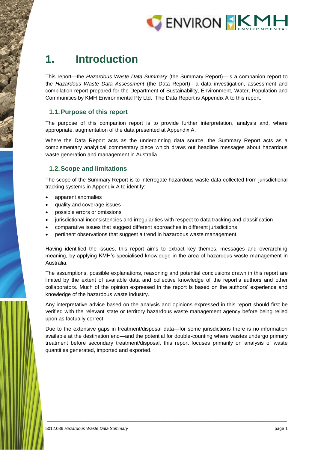

## <span id="page-7-0"></span>**1. Introduction**

This report—the *Hazardous Waste Data Summary* (the Summary Report)—is a companion report to the *Hazardous Waste Data Assessment* (the Data Report)—a data investigation, assessment and compilation report prepared for the Department of Sustainability, Environment, Water, Population and Communities by KMH Environmental Pty Ltd. The Data Report is Appendix A to this report.

## <span id="page-7-1"></span>**1.1.Purpose of this report**

The purpose of this companion report is to provide further interpretation, analysis and, where appropriate, augmentation of the data presented at Appendix A.

Where the Data Report acts as the underpinning data source, the Summary Report acts as a complementary analytical commentary piece which draws out headline messages about hazardous waste generation and management in Australia.

## <span id="page-7-2"></span>**1.2.Scope and limitations**

The scope of the Summary Report is to interrogate hazardous waste data collected from jurisdictional tracking systems in Appendix A to identify:

- apparent anomalies
- quality and coverage issues
- possible errors or omissions
- jurisdictional inconsistencies and irregularities with respect to data tracking and classification
- comparative issues that suggest different approaches in different jurisdictions
- pertinent observations that suggest a trend in hazardous waste management.

Having identified the issues, this report aims to extract key themes, messages and overarching meaning, by applying KMH's specialised knowledge in the area of hazardous waste management in Australia.

The assumptions, possible explanations, reasoning and potential conclusions drawn in this report are limited by the extent of available data and collective knowledge of the report's authors and other collaborators. Much of the opinion expressed in the report is based on the authors' experience and knowledge of the hazardous waste industry.

Any interpretative advice based on the analysis and opinions expressed in this report should first be verified with the relevant state or territory hazardous waste management agency before being relied upon as factually correct.

Due to the extensive gaps in treatment/disposal data—for some jurisdictions there is no information available at the destination end—and the potential for double-counting where wastes undergo primary treatment before secondary treatment/disposal, this report focuses primarily on analysis of waste quantities generated, imported and exported.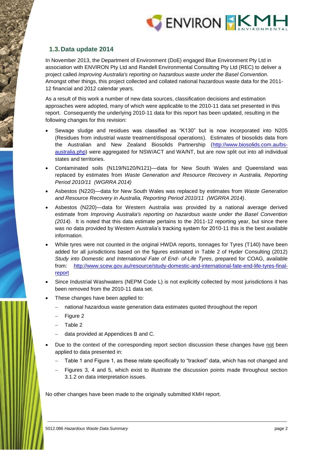

## <span id="page-8-0"></span>**1.3.Data update 2014**

In November 2013, the Department of Environment (DoE) engaged Blue Environment Pty Ltd in association with ENVIRON Pty Ltd and Randell Environmental Consulting Pty Ltd (REC) to deliver a project called *Improving Australia's reporting on hazardous waste under the Basel Convention*. Amongst other things, this project collected and collated national hazardous waste data for the 2011- 12 financial and 2012 calendar years.

As a result of this work a number of new data sources, classification decisions and estimation approaches were adopted, many of which were applicable to the 2010-11 data set presented in this report. Consequently the underlying 2010-11 data for this report has been updated, resulting in the following changes for this revision:

- Sewage sludge and residues was classified as "K130" but is now incorporated into N205 (Residues from industrial waste treatment/disposal operations). Estimates of biosolids data from the Australian and New Zealand Biosolids Partnership [\(http://www.biosolids.com.au/bs](http://www.biosolids.com.au/bs-australia.php)[australia.php\)](http://www.biosolids.com.au/bs-australia.php) were aggregated for NSW/ACT and WA/NT, but are now split out into all individual states and territories.
- Contaminated soils (N119/N120/N121)—data for New South Wales and Queensland was replaced by estimates from *Waste Generation and Resource Recovery in Australia, Reporting Period 2010/11 (WGRRA 2014)*
- Asbestos (N220)—data for New South Wales was replaced by estimates from *Waste Generation and Resource Recovery in Australia, Reporting Period 2010/11 (WGRRA 2014)*.
- Asbestos (N220)—data for Western Australia was provided by a national average derived estimate from *Improving Australia's reporting on hazardous waste under the Basel Convention (2014)*. It is noted that this data estimate pertains to the 2011-12 reporting year, but since there was no data provided by Western Australia's tracking system for 2010-11 this is the best available information.
- While tyres were not counted in the original HWDA reports, tonnages for Tyres (T140) have been added for all jurisdictions based on the figures estimated in Table 2 of Hyder Consulting (2012) *Study into Domestic and International Fate of End- of-Life Tyres*, prepared for COAG, available from: [http://www.scew.gov.au/resource/study-domestic-and-international-fate-end-life-tyres-final](http://www.scew.gov.au/resource/study-domestic-and-international-fate-end-life-tyres-final-report)[report](http://www.scew.gov.au/resource/study-domestic-and-international-fate-end-life-tyres-final-report)
- Since Industrial Washwaters (NEPM Code L) is not explicitly collected by most jurisdictions it has been removed from the 2010-11 data set.
- These changes have been applied to:
	- national hazardous waste generation data estimates quoted throughout the report
	- Figure 2
	- Table 2
	- data provided at Appendices B and C.
- Due to the context of the corresponding report section discussion these changes have not been applied to data presented in:
	- Table 1 and Figure 1, as these relate specifically to "tracked" data, which has not changed and
	- Figures 3, 4 and 5, which exist to illustrate the discussion points made throughout section 3.1.2 on data interpretation issues.

\_\_\_\_\_\_\_\_\_\_\_\_\_\_\_\_\_\_\_\_\_\_\_\_\_\_\_\_\_\_\_\_\_\_\_\_\_\_\_\_\_\_\_\_\_\_\_\_\_\_\_\_\_\_\_\_\_\_\_\_\_\_\_\_\_\_\_\_\_\_\_\_\_\_\_\_\_\_\_\_\_\_\_\_\_\_\_\_\_\_\_\_\_\_\_\_\_\_\_\_\_

No other changes have been made to the originally submitted KMH report.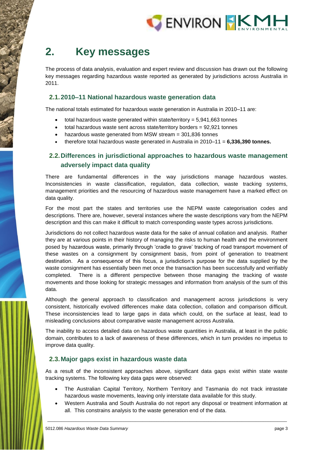

# <span id="page-9-0"></span>**2. Key messages**

The process of data analysis, evaluation and expert review and discussion has drawn out the following key messages regarding hazardous waste reported as generated by jurisdictions across Australia in 2011.

## <span id="page-9-1"></span>**2.1.2010–11 National hazardous waste generation data**

The national totals estimated for hazardous waste generation in Australia in 2010–11 are:

- total hazardous waste generated within state/territory = 5,941,663 tonnes
- total hazardous waste sent across state/territory borders = 92,921 tonnes
- hazardous waste generated from MSW stream = 301,836 tonnes
- therefore total hazardous waste generated in Australia in 2010–11 = **6,336,390 tonnes.**

## <span id="page-9-2"></span>**2.2.Differences in jurisdictional approaches to hazardous waste management adversely impact data quality**

There are fundamental differences in the way jurisdictions manage hazardous wastes. Inconsistencies in waste classification, regulation, data collection, waste tracking systems, management priorities and the resourcing of hazardous waste management have a marked effect on data quality.

For the most part the states and territories use the NEPM waste categorisation codes and descriptions. There are, however, several instances where the waste descriptions vary from the NEPM description and this can make it difficult to match corresponding waste types across jurisdictions.

Jurisdictions do not collect hazardous waste data for the sake of annual collation and analysis. Rather they are at various points in their history of managing the risks to human health and the environment posed by hazardous waste, primarily through 'cradle to grave' tracking of road transport movement of these wastes on a consignment by consignment basis, from point of generation to treatment destination. As a consequence of this focus, a jurisdiction's purpose for the data supplied by the waste consignment has essentially been met once the transaction has been successfully and verifiably completed. There is a different perspective between those managing the tracking of waste movements and those looking for strategic messages and information from analysis of the sum of this data.

Although the general approach to classification and management across jurisdictions is very consistent, historically evolved differences make data collection, collation and comparison difficult. These inconsistencies lead to large gaps in data which could, on the surface at least, lead to misleading conclusions about comparative waste management across Australia.

The inability to access detailed data on hazardous waste quantities in Australia, at least in the public domain, contributes to a lack of awareness of these differences, which in turn provides no impetus to improve data quality.

### <span id="page-9-3"></span>**2.3.Major gaps exist in hazardous waste data**

As a result of the inconsistent approaches above, significant data gaps exist within state waste tracking systems. The following key data gaps were observed:

- The Australian Capital Territory, Northern Territory and Tasmania do not track intrastate hazardous waste movements, leaving only interstate data available for this study.
- Western Australia and South Australia do not report any disposal or treatment information at all. This constrains analysis to the waste generation end of the data.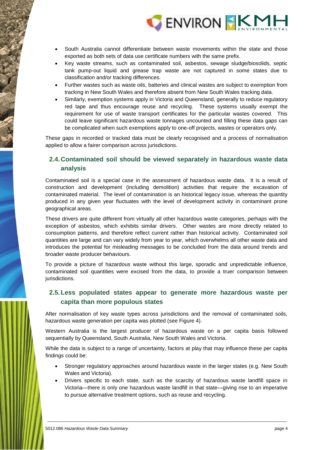

- South Australia cannot differentiate between waste movements within the state and those exported as both sets of data use certificate numbers with the same prefix.
- Key waste streams, such as contaminated soil, asbestos, sewage sludge/biosolids, septic tank pump-out liquid and grease trap waste are not captured in some states due to classification and/or tracking differences.
- Further wastes such as waste oils, batteries and clinical wastes are subject to exemption from tracking in New South Wales and therefore absent from New South Wales tracking data.
- Similarly, exemption systems apply in Victoria and Queensland, generally to reduce regulatory red tape and thus encourage reuse and recycling. These systems usually exempt the requirement for use of waste transport certificates for the particular wastes covered. This could leave significant hazardous waste tonnages uncounted and filling these data gaps can be complicated when such exemptions apply to one-off projects, wastes or operators only.

These gaps in recorded or tracked data must be clearly recognised and a process of normalisation applied to allow a fairer comparison across jurisdictions.

## <span id="page-10-0"></span>**2.4.Contaminated soil should be viewed separately in hazardous waste data analysis**

Contaminated soil is a special case in the assessment of hazardous waste data. It is a result of construction and development (including demolition) activities that require the excavation of contaminated material. The level of contamination is an historical legacy issue, whereas the quantity produced in any given year fluctuates with the level of development activity in contaminant prone geographical areas.

These drivers are quite different from virtually all other hazardous waste categories, perhaps with the exception of asbestos, which exhibits similar drivers. Other wastes are more directly related to consumption patterns, and therefore reflect current rather than historical activity. Contaminated soil quantities are large and can vary widely from year to year, which overwhelms all other waste data and introduces the potential for misleading messages to be concluded from the data around trends and broader waste producer behaviours.

To provide a picture of hazardous waste without this large, sporadic and unpredictable influence, contaminated soil quantities were excised from the data, to provide a truer comparison between jurisdictions.

## <span id="page-10-1"></span>**2.5.Less populated states appear to generate more hazardous waste per capita than more populous states**

After normalisation of key waste types across jurisdictions and the removal of contaminated soils, hazardous waste generation per capita was plotted (see Figure 4).

Western Australia is the largest producer of hazardous waste on a per capita basis followed sequentially by Queensland, South Australia, New South Wales and Victoria.

While the data is subject to a range of uncertainty, factors at play that may influence these per capita findings could be:

- Stronger regulatory approaches around hazardous waste in the larger states (e.g. New South Wales and Victoria).
- Drivers specific to each state, such as the scarcity of hazardous waste landfill space in Victoria—there is only one hazardous waste landfill in that state—giving rise to an imperative to pursue alternative treatment options, such as reuse and recycling.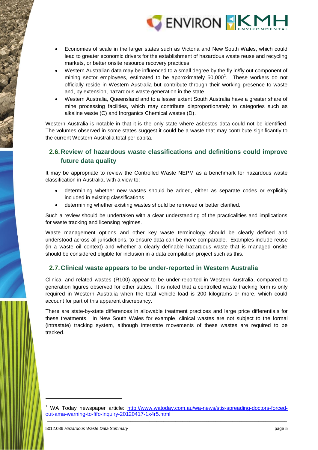

- Economies of scale in the larger states such as Victoria and New South Wales, which could lead to greater economic drivers for the establishment of hazardous waste reuse and recycling markets, or better onsite resource recovery practices.
- Western Australian data may be influenced to a small degree by the fly in/fly out component of mining sector employees, estimated to be approximately  $50,000^1$ . These workers do not officially reside in Western Australia but contribute through their working presence to waste and, by extension, hazardous waste generation in the state.
- Western Australia, Queensland and to a lesser extent South Australia have a greater share of mine processing facilities, which may contribute disproportionately to categories such as alkaline waste (C) and Inorganics Chemical wastes (D).

Western Australia is notable in that it is the only state where asbestos data could not be identified. The volumes observed in some states suggest it could be a waste that may contribute significantly to the current Western Australia total per capita.

## <span id="page-11-0"></span>**2.6.Review of hazardous waste classifications and definitions could improve future data quality**

It may be appropriate to review the Controlled Waste NEPM as a benchmark for hazardous waste classification in Australia, with a view to:

- determining whether new wastes should be added, either as separate codes or explicitly included in existing classifications
- determining whether existing wastes should be removed or better clarified.

Such a review should be undertaken with a clear understanding of the practicalities and implications for waste tracking and licensing regimes.

Waste management options and other key waste terminology should be clearly defined and understood across all jurisdictions, to ensure data can be more comparable. Examples include reuse (in a waste oil context) and whether a clearly definable hazardous waste that is managed onsite should be considered eligible for inclusion in a data compilation project such as this.

## <span id="page-11-1"></span>**2.7.Clinical waste appears to be under-reported in Western Australia**

Clinical and related wastes (R100) appear to be under-reported in Western Australia, compared to generation figures observed for other states. It is noted that a controlled waste tracking form is only required in Western Australia when the total vehicle load is 200 kilograms or more, which could account for part of this apparent discrepancy.

There are state-by-state differences in allowable treatment practices and large price differentials for these treatments. In New South Wales for example, clinical wastes are not subject to the formal (intrastate) tracking system, although interstate movements of these wastes are required to be tracked.

-

\_\_\_\_\_\_\_\_\_\_\_\_\_\_\_\_\_\_\_\_\_\_\_\_\_\_\_\_\_\_\_\_\_\_\_\_\_\_\_\_\_\_\_\_\_\_\_\_\_\_\_\_\_\_\_\_\_\_\_\_\_\_\_\_\_\_\_\_\_\_\_\_\_\_\_\_\_\_\_\_\_\_\_\_\_\_\_\_\_\_\_\_\_\_\_\_\_\_\_\_\_ <sup>1</sup> WA Today newspaper article: [http://www.watoday.com.au/wa-news/stis-spreading-doctors-forced](http://www.watoday.com.au/wa-news/stis-spreading-doctors-forced-out-ama-warning-to-fifo-inquiry-20120417-1x4r5.html)[out-ama-warning-to-fifo-inquiry-20120417-1x4r5.html](http://www.watoday.com.au/wa-news/stis-spreading-doctors-forced-out-ama-warning-to-fifo-inquiry-20120417-1x4r5.html)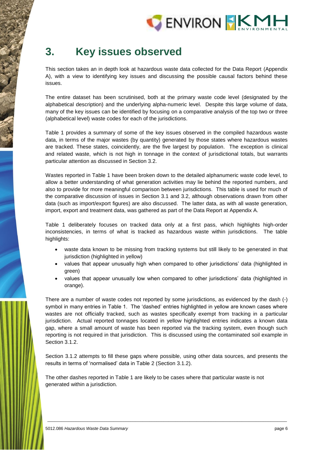

# <span id="page-12-0"></span>**3. Key issues observed**

This section takes an in depth look at hazardous waste data collected for the Data Report (Appendix A), with a view to identifying key issues and discussing the possible causal factors behind these issues.

The entire dataset has been scrutinised, both at the primary waste code level (designated by the alphabetical description) and the underlying alpha-numeric level. Despite this large volume of data, many of the key issues can be identified by focusing on a comparative analysis of the top two or three (alphabetical level) waste codes for each of the jurisdictions.

[Table 1](#page-13-0) provides a summary of some of the key issues observed in the compiled hazardous waste data, in terms of the major wastes (by quantity) generated by those states where hazardous wastes are tracked. These states, coincidently, are the five largest by population. The exception is clinical and related waste, which is not high in tonnage in the context of jurisdictional totals, but warrants particular attention as discussed in Section 3.2.

Wastes reported in Table 1 have been broken down to the detailed alphanumeric waste code level, to allow a better understanding of what generation activities may lie behind the reported numbers, and also to provide for more meaningful comparison between jurisdictions. This table is used for much of the comparative discussion of issues in Section 3.1 and 3.2, although observations drawn from other data (such as import/export figures) are also discussed. The latter data, as with all waste generation, import, export and treatment data, was gathered as part of the Data Report at Appendix A.

Table 1 deliberately focuses on tracked data only at a first pass, which highlights high-order inconsistencies, in terms of what is tracked as hazardous waste within jurisdictions. The table highlights:

- waste data known to be missing from tracking systems but still likely to be generated in that jurisdiction (highlighted in yellow)
- values that appear unusually high when compared to other jurisdictions' data (highlighted in green)
- values that appear unusually low when compared to other jurisdictions' data (highlighted in orange).

There are a number of waste codes not reported by some jurisdictions, as evidenced by the dash (-) symbol in many entries in Table 1. The 'dashed' entries highlighted in yellow are known cases where wastes are not officially tracked, such as wastes specifically exempt from tracking in a particular jurisdiction. Actual reported tonnages located in yellow highlighted entries indicates a known data gap, where a small amount of waste has been reported via the tracking system, even though such reporting is not required in that jurisdiction. This is discussed using the contaminated soil example in Section 3.1.2.

Section 3.1.2 attempts to fill these gaps where possible, using other data sources, and presents the results in terms of 'normalised' data in Table 2 (Section 3.1.2).

\_\_\_\_\_\_\_\_\_\_\_\_\_\_\_\_\_\_\_\_\_\_\_\_\_\_\_\_\_\_\_\_\_\_\_\_\_\_\_\_\_\_\_\_\_\_\_\_\_\_\_\_\_\_\_\_\_\_\_\_\_\_\_\_\_\_\_\_\_\_\_\_\_\_\_\_\_\_\_\_\_\_\_\_\_\_\_\_\_\_\_\_\_\_\_\_\_\_\_\_\_

The other dashes reported in Table 1 are likely to be cases where that particular waste is not generated within a jurisdiction.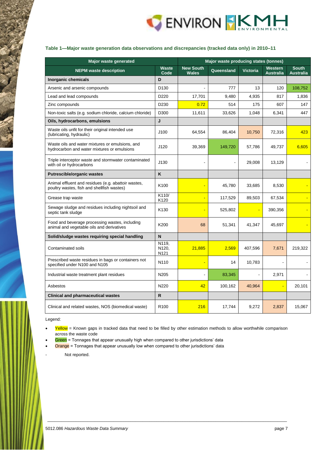

#### <span id="page-13-0"></span>**Table 1—Major waste generation data observations and discrepancies (tracked data only) in 2010–11**

| <b>Major waste generated</b>                                                                      | Major waste producing states (tonnes) |                                  |            |                 |                                    |                                  |
|---------------------------------------------------------------------------------------------------|---------------------------------------|----------------------------------|------------|-----------------|------------------------------------|----------------------------------|
| <b>NEPM</b> waste description                                                                     | <b>Waste</b><br>Code                  | <b>New South</b><br><b>Wales</b> | Queensland | <b>Victoria</b> | <b>Western</b><br><b>Australia</b> | <b>South</b><br><b>Australia</b> |
| Inorganic chemicals                                                                               | D                                     |                                  |            |                 |                                    |                                  |
| Arsenic and arsenic compounds                                                                     | D130                                  |                                  | 777        | 13              | 120                                | 108,752                          |
| Lead and lead compounds                                                                           | D <sub>220</sub>                      | 17,701                           | 9,480      | 4,935           | 817                                | 1,836                            |
| Zinc compounds                                                                                    | D <sub>230</sub>                      | 0.72                             | 514        | 175             | 607                                | 147                              |
| Non-toxic salts (e.g. sodium chloride, calcium chloride)                                          | D300                                  | 11,611                           | 33,626     | 1,048           | 6,341                              | 447                              |
| Oils, hydrocarbons, emulsions                                                                     | J                                     |                                  |            |                 |                                    |                                  |
| Waste oils unfit for their original intended use<br>(lubricating, hydraulic)                      | J100                                  | 64,554                           | 86,404     | 10,750          | 72,316                             | 423                              |
| Waste oils and water mixtures or emulsions, and<br>hydrocarbon and water mixtures or emulsions    | J120                                  | 39,369                           | 149,720    | 57,786          | 49,737                             | 6,605                            |
| Triple interceptor waste and stormwater contaminated<br>with oil or hydrocarbons                  | J130                                  |                                  |            | 29,008          | 13,129                             |                                  |
| <b>Putrescible/organic wastes</b>                                                                 | K                                     |                                  |            |                 |                                    |                                  |
| Animal effluent and residues (e.g. abattoir wastes,<br>poultry wastes, fish and shellfish wastes) | K100                                  |                                  | 45,780     | 33,685          | 8,530                              |                                  |
| Grease trap waste                                                                                 | K110/<br>K120                         |                                  | 117,529    | 89,503          | 67,534                             |                                  |
| Sewage sludge and residues including nightsoil and<br>septic tank sludge                          | K <sub>130</sub>                      |                                  | 525,802    | ÷               | 390,356                            |                                  |
| Food and beverage processing wastes, including<br>animal and vegetable oils and derivatives       | K200                                  | 68                               | 51,341     | 41,347          | 45,697                             |                                  |
| Solid/sludge wastes requiring special handling                                                    | N                                     |                                  |            |                 |                                    |                                  |
| Contaminated soils                                                                                | N119,<br>N120,<br>N <sub>121</sub>    | 21,885                           | 2,569      | 407,596         | 7,671                              | 219,322                          |
| Prescribed waste residues in bags or containers not<br>specified under N100 and N105              | N110                                  |                                  | 14         | 10,783          |                                    |                                  |
| Industrial waste treatment plant residues                                                         | N205                                  |                                  | 83,345     | $\blacksquare$  | 2,971                              |                                  |
| Asbestos                                                                                          | N220                                  | 42                               | 100,162    | 40,964          |                                    | 20,101                           |
| <b>Clinical and pharmaceutical wastes</b>                                                         | $\mathsf{R}$                          |                                  |            |                 |                                    |                                  |
| Clinical and related wastes, NOS (biomedical waste)                                               | R <sub>100</sub>                      | 216                              | 17,744     | 9,272           | 2,837                              | 15,067                           |

Legend:

Yellow = Known gaps in tracked data that need to be filled by other estimation methods to allow worthwhile comparison across the waste code

\_\_\_\_\_\_\_\_\_\_\_\_\_\_\_\_\_\_\_\_\_\_\_\_\_\_\_\_\_\_\_\_\_\_\_\_\_\_\_\_\_\_\_\_\_\_\_\_\_\_\_\_\_\_\_\_\_\_\_\_\_\_\_\_\_\_\_\_\_\_\_\_\_\_\_\_\_\_\_\_\_\_\_\_\_\_\_\_\_\_\_\_\_\_\_\_\_\_\_\_\_

Green = Tonnages that appear unusually high when compared to other jurisdictions' data

Orange = Tonnages that appear unusually low when compared to other jurisdictions' data

Not reported.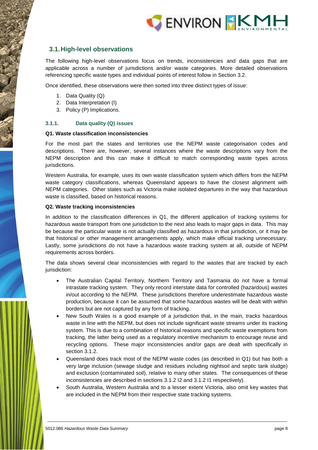

## <span id="page-14-0"></span>**3.1.High-level observations**

The following high-level observations focus on trends, inconsistencies and data gaps that are applicable across a number of jurisdictions and/or waste categories. More detailed observations referencing specific waste types and individual points of interest follow in Section [3.2.](#page-25-0)

Once identified, these observations were then sorted into three distinct types of issue:

- 1. Data Quality (Q)
- 2. Data Interpretation (I)
- 3. Policy (P) Implications.

#### **3.1.1. Data quality (Q) issues**

#### **Q1. Waste classification inconsistencies**

For the most part the states and territories use the NEPM waste categorisation codes and descriptions. There are, however, several instances where the waste descriptions vary from the NEPM description and this can make it difficult to match corresponding waste types across jurisdictions.

Western Australia, for example, uses its own waste classification system which differs from the NEPM waste category classifications, whereas Queensland appears to have the closest alignment with NEPM categories. Other states such as Victoria make isolated departures in the way that hazardous waste is classified, based on historical reasons.

#### **Q2. Waste tracking inconsistencies**

In addition to the classification differences in Q1, the different application of tracking systems for hazardous waste transport from one jurisdiction to the next also leads to major gaps in data. This may be because the particular waste is not actually classified as hazardous in that jurisdiction, or it may be that historical or other management arrangements apply, which make official tracking unnecessary. Lastly, some jurisdictions do not have a hazardous waste tracking system at all, outside of NEPM requirements across borders.

The data shows several clear inconsistencies with regard to the wastes that are tracked by each jurisdiction:

- The Australian Capital Territory, Northern Territory and Tasmania do not have a formal intrastate tracking system. They only record interstate data for controlled (hazardous) wastes in/out according to the NEPM. These jurisdictions therefore underestimate hazardous waste production, because it can be assumed that some hazardous wastes will be dealt with within borders but are not captured by any form of tracking.
- New South Wales is a good example of a jurisdiction that, in the main, tracks hazardous waste in line with the NEPM, but does not include significant waste streams under its tracking system. This is due to a combination of historical reasons and specific waste exemptions from tracking, the latter being used as a regulatory incentive mechanism to encourage reuse and recycling options. These major inconsistencies and/or gaps are dealt with specifically in section 3.1.2.
- Queensland does track most of the NEPM waste codes (as described in Q1) but has both a very large inclusion (sewage sludge and residues including nightsoil and septic tank sludge) and exclusion (contaminated soil), relative to many other states. The consequences of these inconsistencies are described in sections 3.1.2 I2 and 3.1.2 I1 respectively).
- South Australia, Western Australia and to a lesser extent Victoria, also omit key wastes that are included in the NEPM from their respective state tracking systems.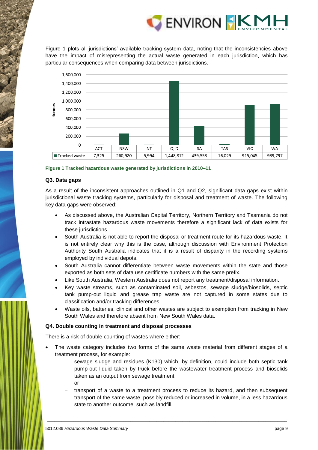

[Figure 1](#page-15-0) plots all jurisdictions' available tracking system data, noting that the inconsistencies above have the impact of misrepresenting the actual waste generated in each jurisdiction, which has particular consequences when comparing data between jurisdictions.



<span id="page-15-0"></span>

#### **Q3. Data gaps**

As a result of the inconsistent approaches outlined in Q1 and Q2, significant data gaps exist within jurisdictional waste tracking systems, particularly for disposal and treatment of waste. The following key data gaps were observed:

- As discussed above, the Australian Capital Territory, Northern Territory and Tasmania do not track intrastate hazardous waste movements therefore a significant lack of data exists for these jurisdictions.
- South Australia is not able to report the disposal or treatment route for its hazardous waste. It is not entirely clear why this is the case, although discussion with Environment Protection Authority South Australia indicates that it is a result of disparity in the recording systems employed by individual depots.
- South Australia cannot differentiate between waste movements within the state and those exported as both sets of data use certificate numbers with the same prefix.
- Like South Australia, Western Australia does not report any treatment/disposal information.
- Key waste streams, such as contaminated soil, asbestos, sewage sludge/biosolids, septic tank pump-out liquid and grease trap waste are not captured in some states due to classification and/or tracking differences.
- Waste oils, batteries, clinical and other wastes are subject to exemption from tracking in New South Wales and therefore absent from New South Wales data.

#### **Q4. Double counting in treatment and disposal processes**

There is a risk of double counting of wastes where either:

- The waste category includes two forms of the same waste material from different stages of a treatment process, for example:
	- sewage sludge and residues (K130) which, by definition, could include both septic tank pump-out liquid taken by truck before the wastewater treatment process and biosolids taken as an output from sewage treatment or
	- transport of a waste to a treatment process to reduce its hazard, and then subsequent transport of the same waste, possibly reduced or increased in volume, in a less hazardous state to another outcome, such as landfill.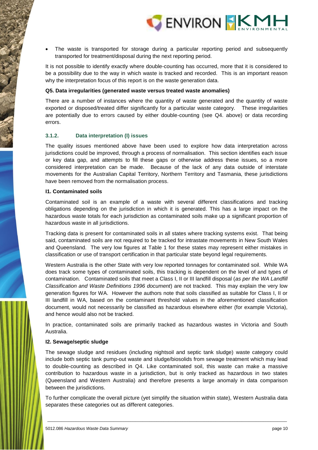

 The waste is transported for storage during a particular reporting period and subsequently transported for treatment/disposal during the next reporting period.

It is not possible to identify exactly where double-counting has occurred, more that it is considered to be a possibility due to the way in which waste is tracked and recorded. This is an important reason why the interpretation focus of this report is on the waste generation data.

#### **Q5. Data irregularities (generated waste versus treated waste anomalies)**

There are a number of instances where the quantity of waste generated and the quantity of waste exported or disposed/treated differ significantly for a particular waste category. These irregularities are potentially due to errors caused by either double-counting (see Q4. above) or data recording errors.

#### **3.1.2. Data interpretation (I) issues**

The quality issues mentioned above have been used to explore how data interpretation across jurisdictions could be improved, through a process of normalisation. This section identifies each issue or key data gap, and attempts to fill these gaps or otherwise address these issues, so a more considered interpretation can be made. Because of the lack of any data outside of interstate movements for the Australian Capital Territory, Northern Territory and Tasmania, these jurisdictions have been removed from the normalisation process.

#### **I1. Contaminated soils**

Contaminated soil is an example of a waste with several different classifications and tracking obligations depending on the jurisdiction in which it is generated. This has a large impact on the hazardous waste totals for each jurisdiction as contaminated soils make up a significant proportion of hazardous waste in all jurisdictions.

Tracking data is present for contaminated soils in all states where tracking systems exist. That being said, contaminated soils are not required to be tracked for intrastate movements in New South Wales and Queensland. The very low figures at Table 1 for these states may represent either mistakes in classification or use of transport certification in that particular state beyond legal requirements.

Western Australia is the other State with very low reported tonnages for contaminated soil. While WA does track some types of contaminated soils, this tracking is dependent on the level of and types of contamination. Contaminated soils that meet a Class I, II or III landfill disposal (*as per the WA Landfill Classification and Waste Definitions 1996 document*) are not tracked. This may explain the very low generation figures for WA. However the authors note that soils classified as suitable for Class I, II or III landfill in WA, based on the contaminant threshold values in the aforementioned classification document, would not necessarily be classified as hazardous elsewhere either (for example Victoria), and hence would also not be tracked.

In practice, contaminated soils are primarily tracked as hazardous wastes in Victoria and South Australia.

#### **I2. Sewage/septic sludge**

The sewage sludge and residues (including nightsoil and septic tank sludge) waste category could include both septic tank pump-out waste and sludge/biosolids from sewage treatment which may lead to double-counting as described in Q4. Like contaminated soil, this waste can make a massive contribution to hazardous waste in a jurisdiction, but is only tracked as hazardous in two states (Queensland and Western Australia) and therefore presents a large anomaly in data comparison between the jurisdictions.

To further complicate the overall picture (yet simplify the situation within state), Western Australia data separates these categories out as different categories.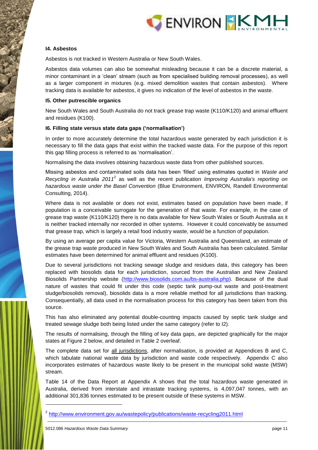

#### **I4. Asbestos**

Asbestos is not tracked in Western Australia or New South Wales.

Asbestos data volumes can also be somewhat misleading because it can be a discrete material, a minor contaminant in a 'clean' stream (such as from specialised building removal processes), as well as a larger component in mixtures (e.g. mixed demolition wastes that contain asbestos). Where tracking data is available for asbestos, it gives no indication of the level of asbestos in the waste.

#### **I5. Other putrescible organics**

New South Wales and South Australia do not track grease trap waste (K110/K120) and animal effluent and residues (K100).

#### **I6. Filling state versus state data gaps ('normalisation')**

In order to more accurately determine the total hazardous waste generated by each jurisdiction it is necessary to fill the data gaps that exist within the tracked waste data. For the purpose of this report this gap filling process is referred to as 'normalisation'.

Normalising the data involves obtaining hazardous waste data from other published sources.

Missing asbestos and contaminated soils data has been 'filled' using estimates quoted in *Waste and Recycling in Australia 2011*<sup>2</sup> as well as the recent publication *Improving Australia's reporting on hazardous waste under the Basel Convention* (Blue Environment, ENVIRON, Randell Environmental Consulting, 2014).

Where data is not available or does not exist, estimates based on population have been made, if population is a conceivable surrogate for the generation of that waste. For example, in the case of grease trap waste (K110/K120) there is no data available for New South Wales or South Australia as it is neither tracked internally nor recorded in other systems. However it could conceivably be assumed that grease trap, which is largely a retail food industry waste, would be a function of population.

By using an average per capita value for Victoria, Western Australia and Queensland, an estimate of the grease trap waste produced in New South Wales and South Australia has been calculated. Similar estimates have been determined for animal effluent and residues (K100).

Due to several jurisdictions not tracking sewage sludge and residues data, this category has been replaced with biosolids data for each jurisdiction, sourced from the Australian and New Zealand Biosolids Partnership website [\(http://www.biosolids.com.au/bs-australia.php\)](http://www.biosolids.com.au/bs-australia.php). Because of the dual nature of wastes that could fit under this code (septic tank pump-out waste and post-treatment sludge/biosolids removal), biosolids data is a more reliable method for all jurisdictions than tracking. Consequentially, all data used in the normalisation process for this category has been taken from this source.

This has also eliminated any potential double-counting impacts caused by septic tank sludge and treated sewage sludge both being listed under the same category (refer to I2).

The results of normalising, through the filling of key data gaps, are depicted graphically for the major states at Figure 2 below, and detailed in Table 2 overleaf.

The complete data set for all jurisdictions, after normalisation, is provided at Appendices B and C, which tabulate national waste data by jurisdiction and waste code respectively. Appendix C also incorporates estimates of hazardous waste likely to be present in the municipal solid waste (MSW) stream.

Table 14 of the Data Report at Appendix A shows that the total hazardous waste generated in Australia, derived from interstate and intrastate tracking systems, is 4,097,047 tonnes, with an additional 301,836 tonnes estimated to be present outside of these systems in MSW.

\_\_\_\_\_\_\_\_\_\_\_\_\_\_\_\_\_\_\_\_\_\_\_\_\_\_\_\_\_\_\_\_\_\_\_\_\_\_\_\_\_\_\_\_\_\_\_\_\_\_\_\_\_\_\_\_\_\_\_\_\_\_\_\_\_\_\_\_\_\_\_\_\_\_\_\_\_\_\_\_\_\_\_\_\_\_\_\_\_\_\_\_\_\_\_\_\_\_\_\_\_

-

<sup>&</sup>lt;sup>2</sup> <http://www.environment.gov.au/wastepolicy/publications/waste-recycling2011.html>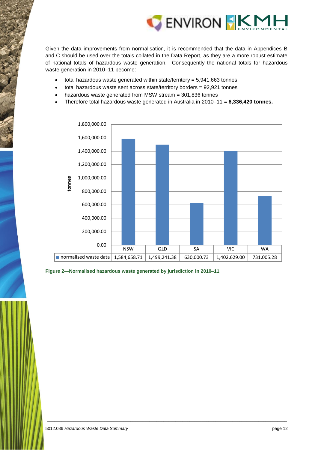

Given the data improvements from normalisation, it is recommended that the data in Appendices B and C should be used over the totals collated in the Data Report, as they are a more robust estimate of national totals of hazardous waste generation. Consequently the national totals for hazardous waste generation in 2010–11 become:

- total hazardous waste generated within state/territory = 5,941,663 tonnes
- total hazardous waste sent across state/territory borders = 92,921 tonnes
- hazardous waste generated from MSW stream = 301,836 tonnes
- Therefore total hazardous waste generated in Australia in 2010–11 = **6,336,420 tonnes.**



<span id="page-18-0"></span>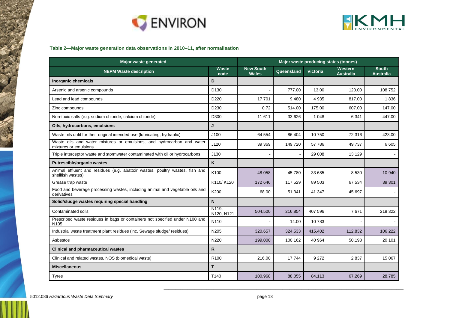



#### **Table 2—Major waste generation data observations in 2010–11, after normalisation**

| <b>Major waste generated</b>                                                                      | Major waste producing states (tonnes) |                                                                                                  |         |         |         |                                  |
|---------------------------------------------------------------------------------------------------|---------------------------------------|--------------------------------------------------------------------------------------------------|---------|---------|---------|----------------------------------|
| <b>NEPM Waste description</b>                                                                     | Waste<br>code                         | <b>New South</b><br>Western<br>Queensland<br><b>Victoria</b><br><b>Wales</b><br><b>Australia</b> |         |         |         | <b>South</b><br><b>Australia</b> |
| <b>Inorganic chemicals</b>                                                                        | D                                     |                                                                                                  |         |         |         |                                  |
| Arsenic and arsenic compounds                                                                     | D <sub>130</sub>                      |                                                                                                  | 777.00  | 13.00   | 120.00  | 108 752                          |
| Lead and lead compounds                                                                           | D220                                  | 17701                                                                                            | 9480    | 4 9 3 5 | 817.00  | 1836                             |
| Zinc compounds                                                                                    | D <sub>230</sub>                      | 0.72                                                                                             | 514.00  | 175.00  | 607.00  | 147.00                           |
| Non-toxic salts (e.g. sodium chloride, calcium chloride)                                          | D300                                  | 11 611                                                                                           | 33 626  | 1 0 4 8 | 6 3 4 1 | 447.00                           |
| Oils, hydrocarbons, emulsions                                                                     | J                                     |                                                                                                  |         |         |         |                                  |
| Waste oils unfit for their original intended use (lubricating, hydraulic)                         | J100                                  | 64 554                                                                                           | 86 404  | 10 750  | 72 316  | 423.00                           |
| Waste oils and water mixtures or emulsions, and hydrocarbon and water<br>mixtures or emulsions    | J120                                  | 39 369                                                                                           | 149 720 | 57 786  | 49 737  | 6 6 0 5                          |
| Triple interceptor waste and stormwater contaminated with oil or hydrocarbons                     | J130                                  |                                                                                                  |         | 29 008  | 13 1 29 |                                  |
| <b>Putrescible/organic wastes</b>                                                                 | K                                     |                                                                                                  |         |         |         |                                  |
| Animal effluent and residues (e.g. abattoir wastes, poultry wastes, fish and<br>shellfish wastes) | K100                                  | 48 0 58                                                                                          | 45 780  | 33 685  | 8 5 3 0 | 10 940                           |
| Grease trap waste                                                                                 | K110/K120                             | 172 646                                                                                          | 117 529 | 89 503  | 67 534  | 39 301                           |
| Food and beverage processing wastes, including animal and vegetable oils and<br>derivatives       | K200                                  | 68.00                                                                                            | 51 341  | 41 347  | 45 697  |                                  |
| Solid/sludge wastes requiring special handling                                                    | N                                     |                                                                                                  |         |         |         |                                  |
| Contaminated soils                                                                                | N119.<br>N120, N121                   | 504,500                                                                                          | 216,854 | 407 596 | 7671    | 219 322                          |
| Prescribed waste residues in bags or containers not specified under N100 and<br>N <sub>105</sub>  | N110                                  |                                                                                                  | 14.00   | 10783   |         |                                  |
| Industrial waste treatment plant residues (inc. Sewage sludge/ residues)                          | N205                                  | 320,657                                                                                          | 324,533 | 415,402 | 112,832 | 106 222                          |
| Asbestos                                                                                          | N220                                  | 199,000                                                                                          | 100 162 | 40 964  | 50,198  | 20 101                           |
| <b>Clinical and pharmaceutical wastes</b>                                                         | R                                     |                                                                                                  |         |         |         |                                  |
| Clinical and related wastes, NOS (biomedical waste)                                               | R <sub>100</sub>                      | 216.00                                                                                           | 17744   | 9 2 7 2 | 2837    | 15 067                           |
| <b>Miscellaneous</b>                                                                              | T.                                    |                                                                                                  |         |         |         |                                  |
| <b>Tyres</b>                                                                                      | T140                                  | 100,968                                                                                          | 88,055  | 84,113  | 67,269  | 28,785                           |

<span id="page-19-0"></span>Ì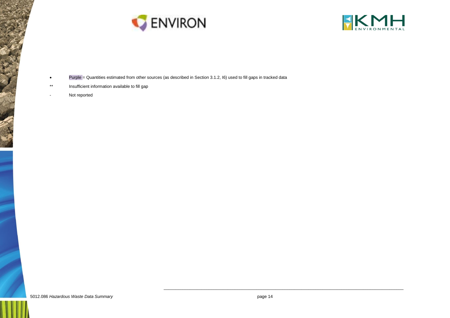



- Purple = Quantities estimated from other sources (as described in Section 3.1.2, I6) used to fill gaps in tracked data
- \*\* Insufficient information available to fill gap
- Not reported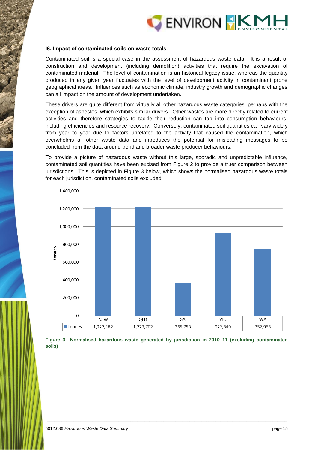

#### **I6. Impact of contaminated soils on waste totals**

Contaminated soil is a special case in the assessment of hazardous waste data. It is a result of construction and development (including demolition) activities that require the excavation of contaminated material. The level of contamination is an historical legacy issue, whereas the quantity produced in any given year fluctuates with the level of development activity in contaminant prone geographical areas. Influences such as economic climate, industry growth and demographic changes can all impact on the amount of development undertaken.

These drivers are quite different from virtually all other hazardous waste categories, perhaps with the exception of asbestos, which exhibits similar drivers. Other wastes are more directly related to current activities and therefore strategies to tackle their reduction can tap into consumption behaviours, including efficiencies and resource recovery. Conversely, contaminated soil quantities can vary widely from year to year due to factors unrelated to the activity that caused the contamination, which overwhelms all other waste data and introduces the potential for misleading messages to be concluded from the data around trend and broader waste producer behaviours.

To provide a picture of hazardous waste without this large, sporadic and unpredictable influence, contaminated soil quantities have been excised from Figure 2 to provide a truer comparison between jurisdictions. This is depicted in [Figure 3](#page-21-0) below, which shows the normalised hazardous waste totals for each jurisdiction, contaminated soils excluded.



<span id="page-21-0"></span>**Figure 3—Normalised hazardous waste generated by jurisdiction in 2010–11 (excluding contaminated soils)**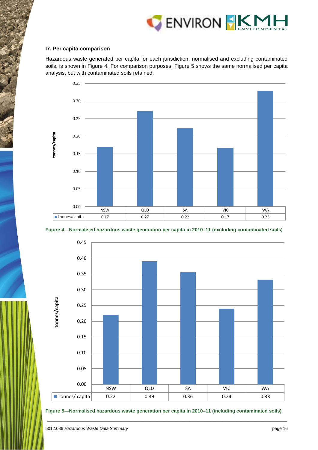

#### **I7. Per capita comparison**

Hazardous waste generated per capita for each jurisdiction, normalised and excluding contaminated soils, is shown in [Figure 4.](#page-22-0) For comparison purposes, Figure 5 shows the same normalised per capita analysis, but with contaminated soils retained.



<span id="page-22-0"></span>



<span id="page-22-1"></span>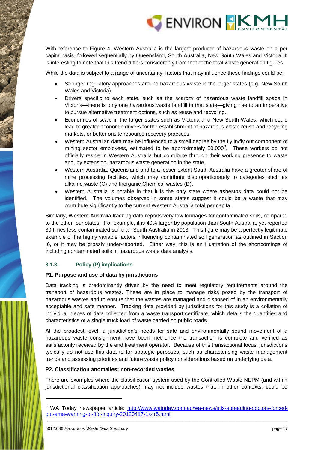

With reference to Figure 4, Western Australia is the largest producer of hazardous waste on a per capita basis, followed sequentially by Queensland, South Australia, New South Wales and Victoria. It is interesting to note that this trend differs considerably from that of the total waste generation figures.

While the data is subject to a range of uncertainty, factors that may influence these findings could be:

- Stronger regulatory approaches around hazardous waste in the larger states (e.g. New South Wales and Victoria).
- Drivers specific to each state, such as the scarcity of hazardous waste landfill space in Victoria—there is only one hazardous waste landfill in that state—giving rise to an imperative to pursue alternative treatment options, such as reuse and recycling.
- Economies of scale in the larger states such as Victoria and New South Wales, which could lead to greater economic drivers for the establishment of hazardous waste reuse and recycling markets, or better onsite resource recovery practices.
- Western Australian data may be influenced to a small degree by the fly in/fly out component of mining sector employees, estimated to be approximately  $50,000^3$ . These workers do not officially reside in Western Australia but contribute through their working presence to waste and, by extension, hazardous waste generation in the state.
- Western Australia, Queensland and to a lesser extent South Australia have a greater share of mine processing facilities, which may contribute disproportionately to categories such as alkaline waste (C) and Inorganic Chemical wastes (D).
- Western Australia is notable in that it is the only state where asbestos data could not be identified. The volumes observed in some states suggest it could be a waste that may contribute significantly to the current Western Australia total per capita.

Similarly, Western Australia tracking data reports very low tonnages for contaminated soils, compared to the other four states. For example, it is 40% larger by population than South Australia, yet reported 30 times less contaminated soil than South Australia in 2013. This figure may be a perfectly legitimate example of the highly variable factors influencing contaminated soil generation as outlined in Section I6, or it may be grossly under-reported. Either way, this is an illustration of the shortcomings of including contaminated soils in hazardous waste data analysis.

#### **3.1.3. Policy (P) implications**

#### **P1. Purpose and use of data by jurisdictions**

Data tracking is predominantly driven by the need to meet regulatory requirements around the transport of hazardous wastes. These are in place to manage risks posed by the transport of hazardous wastes and to ensure that the wastes are managed and disposed of in an environmentally acceptable and safe manner. Tracking data provided by jurisdictions for this study is a collation of individual pieces of data collected from a waste transport certificate, which details the quantities and characteristics of a single truck load of waste carried on public roads.

At the broadest level, a jurisdiction's needs for safe and environmentally sound movement of a hazardous waste consignment have been met once the transaction is complete and verified as satisfactorily received by the end treatment operator. Because of this transactional focus, jurisdictions typically do not use this data to for strategic purposes, such as characterising waste management trends and assessing priorities and future waste policy considerations based on underlying data.

#### **P2. Classification anomalies: non-recorded wastes**

There are examples where the classification system used by the Controlled Waste NEPM (and within jurisdictional classification approaches) may not include wastes that, in other contexts, could be

-

\_\_\_\_\_\_\_\_\_\_\_\_\_\_\_\_\_\_\_\_\_\_\_\_\_\_\_\_\_\_\_\_\_\_\_\_\_\_\_\_\_\_\_\_\_\_\_\_\_\_\_\_\_\_\_\_\_\_\_\_\_\_\_\_\_\_\_\_\_\_\_\_\_\_\_\_\_\_\_\_\_\_\_\_\_\_\_\_\_\_\_\_\_\_\_\_\_\_\_\_\_ <sup>3</sup> WA Today newspaper article: [http://www.watoday.com.au/wa-news/stis-spreading-doctors-forced](http://www.watoday.com.au/wa-news/stis-spreading-doctors-forced-out-ama-warning-to-fifo-inquiry-20120417-1x4r5.html)[out-ama-warning-to-fifo-inquiry-20120417-1x4r5.html](http://www.watoday.com.au/wa-news/stis-spreading-doctors-forced-out-ama-warning-to-fifo-inquiry-20120417-1x4r5.html)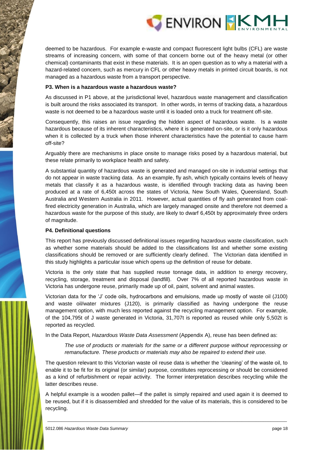

deemed to be hazardous. For example e-waste and compact fluorescent light bulbs (CFL) are waste streams of increasing concern, with some of that concern borne out of the heavy metal (or other chemical) contaminants that exist in these materials. It is an open question as to why a material with a hazard-related concern, such as mercury in CFL or other heavy metals in printed circuit boards, is not managed as a hazardous waste from a transport perspective.

#### **P3. When is a hazardous waste a hazardous waste?**

As discussed in P1 above, at the jurisdictional level, hazardous waste management and classification is built around the risks associated its transport. In other words, in terms of tracking data, a hazardous waste is not deemed to be a hazardous waste until it is loaded onto a truck for treatment off-site.

Consequently, this raises an issue regarding the hidden aspect of hazardous waste. Is a waste hazardous because of its inherent characteristics, where it is generated on-site, or is it only hazardous when it is collected by a truck when those inherent characteristics have the potential to cause harm off-site?

Arguably there are mechanisms in place onsite to manage risks posed by a hazardous material, but these relate primarily to workplace health and safety.

A substantial quantity of hazardous waste is generated and managed on-site in industrial settings that do not appear in waste tracking data. As an example, fly ash, which typically contains levels of heavy metals that classify it as a hazardous waste, is identified through tracking data as having been produced at a rate of 6,450t across the states of Victoria, New South Wales, Queensland, South Australia and Western Australia in 2011. However, actual quantities of fly ash generated from coalfired electricity generation in Australia, which are largely managed onsite and therefore not deemed a hazardous waste for the purpose of this study, are likely to dwarf 6,450t by approximately three orders of magnitude.

#### **P4. Definitional questions**

This report has previously discussed definitional issues regarding hazardous waste classification, such as whether some materials should be added to the classifications list and whether some existing classifications should be removed or are sufficiently clearly defined. The Victorian data identified in this study highlights a particular issue which opens up the definition of reuse for debate.

Victoria is the only state that has supplied reuse tonnage data, in addition to energy recovery, recycling, storage, treatment and disposal (landfill). Over 7% of all reported hazardous waste in Victoria has undergone reuse, primarily made up of oil, paint, solvent and animal wastes.

Victorian data for the 'J' code oils, hydrocarbons and emulsions, made up mostly of waste oil (J100) and waste oil/water mixtures (J120), is primarily classified as having undergone the reuse management option, with much less reported against the recycling management option. For example, of the 104,795t of J waste generated in Victoria, 31,707t is reported as reused while only 5,502t is reported as recycled.

In the Data Report, *Hazardous Waste Data Assessment* (Appendix A), reuse has been defined as:

*The use of products or materials for the same or a different purpose without reprocessing or remanufacture. These products or materials may also be repaired to extend their use.*

The question relevant to this Victorian waste oil reuse data is whether the 'cleaning' of the waste oil, to enable it to be fit for its original (or similar) purpose, constitutes reprocessing or should be considered as a kind of refurbishment or repair activity. The former interpretation describes recycling while the latter describes reuse.

A helpful example is a wooden pallet—if the pallet is simply repaired and used again it is deemed to be reused, but if it is disassembled and shredded for the value of its materials, this is considered to be recycling.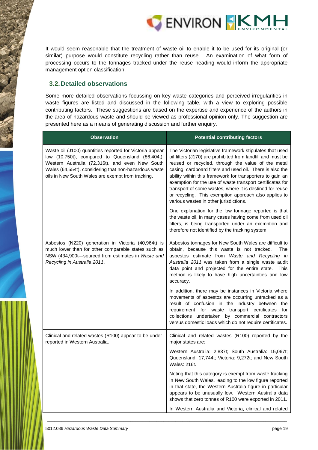

It would seem reasonable that the treatment of waste oil to enable it to be used for its original (or similar) purpose would constitute recycling rather than reuse. An examination of what form of processing occurs to the tonnages tracked under the reuse heading would inform the appropriate management option classification.

## <span id="page-25-0"></span>**3.2.Detailed observations**

Some more detailed observations focussing on key waste categories and perceived irregularities in waste figures are listed and discussed in the following table, with a view to exploring possible contributing factors. These suggestions are based on the expertise and experience of the authors in the area of hazardous waste and should be viewed as professional opinion only. The suggestion are presented here as a means of generating discussion and further enquiry.

| <b>Observation</b>                                                                                                                                                                                                                                                            | <b>Potential contributing factors</b>                                                                                                                                                                                                                                                                                                                                                                                                                                                                                               |
|-------------------------------------------------------------------------------------------------------------------------------------------------------------------------------------------------------------------------------------------------------------------------------|-------------------------------------------------------------------------------------------------------------------------------------------------------------------------------------------------------------------------------------------------------------------------------------------------------------------------------------------------------------------------------------------------------------------------------------------------------------------------------------------------------------------------------------|
| Waste oil (J100) quantities reported for Victoria appear<br>low (10,750t), compared to Queensland (86,404t),<br>Western Australia (72,316t), and even New South<br>Wales (64,554t), considering that non-hazardous waste<br>oils in New South Wales are exempt from tracking. | The Victorian legislative framework stipulates that used<br>oil filters (J170) are prohibited from landfill and must be<br>reused or recycled, through the value of the metal<br>casing, cardboard filters and used oil. There is also the<br>ability within this framework for transporters to gain an<br>exemption for the use of waste transport certificates for<br>transport of some wastes, where it is destined for reuse<br>or recycling. This exemption approach also applies to<br>various wastes in other jurisdictions. |
|                                                                                                                                                                                                                                                                               | One explanation for the low tonnage reported is that<br>the waste oil, in many cases having come from used oil<br>filters, is being transported under an exemption and<br>therefore not identified by the tracking system.                                                                                                                                                                                                                                                                                                          |
| Asbestos (N220) generation in Victoria (40,964t) is<br>much lower than for other comparable states such as<br>NSW (434,900t-sourced from estimates in Waste and<br>Recycling in Australia 2011.                                                                               | Asbestos tonnages for New South Wales are difficult to<br>obtain, because this waste is not tracked.<br>The<br>asbestos estimate from Waste and Recycling in<br>Australia 2011 was taken from a single waste audit<br>data point and projected for the entire state.<br><b>This</b><br>method is likely to have high uncertainties and low<br>accuracy.                                                                                                                                                                             |
|                                                                                                                                                                                                                                                                               | In addition, there may be instances in Victoria where<br>movements of asbestos are occurring untracked as a<br>result of confusion in the industry between the<br>requirement for waste transport certificates<br>for<br>collections undertaken by commercial contractors<br>versus domestic loads which do not require certificates.                                                                                                                                                                                               |
| Clinical and related wastes (R100) appear to be under-<br>reported in Western Australia.                                                                                                                                                                                      | Clinical and related wastes (R100) reported by the<br>major states are:                                                                                                                                                                                                                                                                                                                                                                                                                                                             |
|                                                                                                                                                                                                                                                                               | Western Australia: 2,837t; South Australia: 15,067t;<br>Queensland: 17,744t; Victoria: 9,272t; and New South<br>Wales: 216t.                                                                                                                                                                                                                                                                                                                                                                                                        |
|                                                                                                                                                                                                                                                                               | Noting that this category is exempt from waste tracking<br>in New South Wales, leading to the low figure reported<br>in that state, the Western Australia figure in particular<br>appears to be unusually low. Western Australia data<br>shows that zero tonnes of R100 were exported in 2011.                                                                                                                                                                                                                                      |
|                                                                                                                                                                                                                                                                               | In Western Australia and Victoria, clinical and related                                                                                                                                                                                                                                                                                                                                                                                                                                                                             |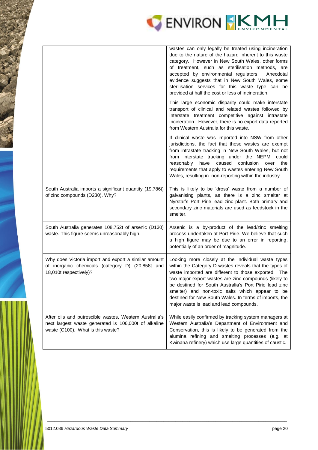

|                                                                                                                                                     | wastes can only legally be treated using incineration<br>due to the nature of the hazard inherent to this waste<br>category. However in New South Wales, other forms<br>of treatment, such as sterilisation methods, are<br>accepted by environmental regulators.<br>Anecdotal<br>evidence suggests that in New South Wales, some<br>sterilisation services for this waste type can be<br>provided at half the cost or less of incineration.   |
|-----------------------------------------------------------------------------------------------------------------------------------------------------|------------------------------------------------------------------------------------------------------------------------------------------------------------------------------------------------------------------------------------------------------------------------------------------------------------------------------------------------------------------------------------------------------------------------------------------------|
|                                                                                                                                                     | This large economic disparity could make interstate<br>transport of clinical and related wastes followed by<br>interstate treatment competitive against intrastate<br>incineration. However, there is no export data reported<br>from Western Australia for this waste.                                                                                                                                                                        |
|                                                                                                                                                     | If clinical waste was imported into NSW from other<br>jurisdictions, the fact that these wastes are exempt<br>from intrastate tracking in New South Wales, but not<br>from interstate tracking under the NEPM, could<br>reasonably have caused<br>confusion over<br>the<br>requirements that apply to wastes entering New South<br>Wales, resulting in non-reporting within the industry.                                                      |
| South Australia imports a significant quantity (19,786t)<br>of zinc compounds (D230). Why?                                                          | This is likely to be 'dross' waste from a number of<br>galvanising plants, as there is a zinc smelter at<br>Nyrstar's Port Pirie lead zinc plant. Both primary and<br>secondary zinc materials are used as feedstock in the<br>smelter.                                                                                                                                                                                                        |
| South Australia generates 108,752t of arsenic (D130)<br>waste. This figure seems unreasonably high.                                                 | Arsenic is a by-product of the lead/zinc smelting<br>process undertaken at Port Pirie. We believe that such<br>a high figure may be due to an error in reporting,<br>potentially of an order of magnitude.                                                                                                                                                                                                                                     |
| Why does Victoria import and export a similar amount<br>of inorganic chemicals (category D) (20,858t and<br>18,010t respectively)?                  | Looking more closely at the individual waste types<br>within the Category D wastes reveals that the types of<br>waste imported are different to those exported. The<br>two major export wastes are zinc compounds (likely to<br>be destined for South Australia's Port Pirie lead zinc<br>smelter) and non-toxic salts which appear to be<br>destined for New South Wales. In terms of imports, the<br>major waste is lead and lead compounds. |
| After oils and putrescible wastes, Western Australia's<br>next largest waste generated is 106,000t of alkaline<br>waste (C100). What is this waste? | While easily confirmed by tracking system managers at<br>Western Australia's Department of Environment and<br>Conservation, this is likely to be generated from the<br>alumina refining and smelting processes (e.g. at<br>Kwinana refinery) which use large quantities of caustic.                                                                                                                                                            |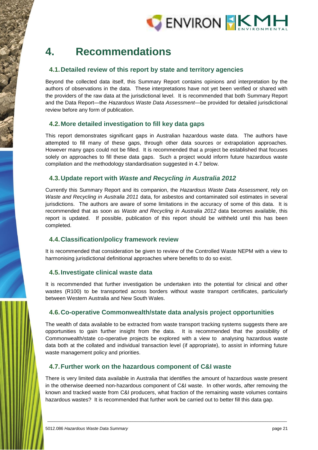

## <span id="page-27-0"></span>**4. Recommendations**

## <span id="page-27-1"></span>**4.1.Detailed review of this report by state and territory agencies**

Beyond the collected data itself, this Summary Report contains opinions and interpretation by the authors of observations in the data. These interpretations have not yet been verified or shared with the providers of the raw data at the jurisdictional level. It is recommended that both Summary Report and the Data Report—the *Hazardous Waste Data Assessment*—be provided for detailed jurisdictional review before any form of publication.

## <span id="page-27-2"></span>**4.2.More detailed investigation to fill key data gaps**

This report demonstrates significant gaps in Australian hazardous waste data. The authors have attempted to fill many of these gaps, through other data sources or extrapolation approaches. However many gaps could not be filled. It is recommended that a project be established that focuses solely on approaches to fill these data gaps. Such a project would inform future hazardous waste compilation and the methodology standardisation suggested in 4.7 below.

## <span id="page-27-3"></span>**4.3.Update report with** *Waste and Recycling in Australia 2012*

Currently this Summary Report and its companion, the *Hazardous Waste Data Assessment*, rely on *Waste and Recycling in Australia 2011* data, for asbestos and contaminated soil estimates in several jurisdictions. The authors are aware of some limitations in the accuracy of some of this data. It is recommended that as soon as *Waste and Recycling in Australia 2012* data becomes available, this report is updated. If possible, publication of this report should be withheld until this has been completed.

## <span id="page-27-4"></span>**4.4.Classification/policy framework review**

It is recommended that consideration be given to review of the Controlled Waste NEPM with a view to harmonising jurisdictional definitional approaches where benefits to do so exist.

#### <span id="page-27-5"></span>**4.5.Investigate clinical waste data**

It is recommended that further investigation be undertaken into the potential for clinical and other wastes (R100) to be transported across borders without waste transport certificates, particularly between Western Australia and New South Wales.

#### <span id="page-27-6"></span>**4.6.Co-operative Commonwealth/state data analysis project opportunities**

The wealth of data available to be extracted from waste transport tracking systems suggests there are opportunities to gain further insight from the data. It is recommended that the possibility of Commonwealth/state co-operative projects be explored with a view to analysing hazardous waste data both at the collated and individual transaction level (if appropriate), to assist in informing future waste management policy and priorities.

#### <span id="page-27-7"></span>**4.7.Further work on the hazardous component of C&I waste**

There is very limited data available in Australia that identifies the amount of hazardous waste present in the otherwise deemed non-hazardous component of C&I waste. In other words, after removing the known and tracked waste from C&I producers, what fraction of the remaining waste volumes contains hazardous wastes? It is recommended that further work be carried out to better fill this data gap.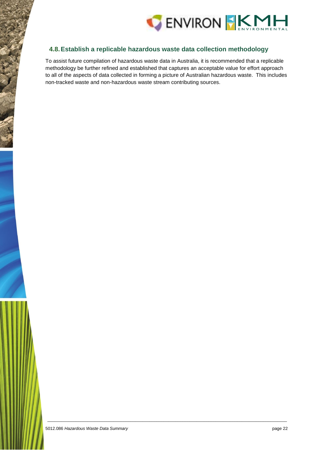

## <span id="page-28-0"></span>**4.8.Establish a replicable hazardous waste data collection methodology**

To assist future compilation of hazardous waste data in Australia, it is recommended that a replicable methodology be further refined and established that captures an acceptable value for effort approach to all of the aspects of data collected in forming a picture of Australian hazardous waste. This includes non-tracked waste and non-hazardous waste stream contributing sources.

\_\_\_\_\_\_\_\_\_\_\_\_\_\_\_\_\_\_\_\_\_\_\_\_\_\_\_\_\_\_\_\_\_\_\_\_\_\_\_\_\_\_\_\_\_\_\_\_\_\_\_\_\_\_\_\_\_\_\_\_\_\_\_\_\_\_\_\_\_\_\_\_\_\_\_\_\_\_\_\_\_\_\_\_\_\_\_\_\_\_\_\_\_\_\_\_\_\_\_\_\_

5012.086 *Hazardous Waste Data Summary* page 22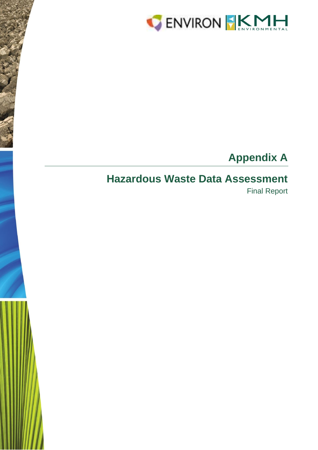

# **Appendix A**

## **Hazardous Waste Data Assessment**

Final Report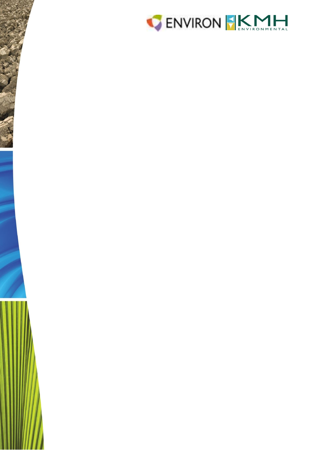

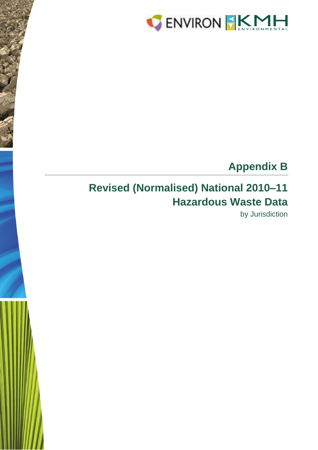

# **Appendix B**

# **Revised (Normalised) National 2010–11 Hazardous Waste Data**

by Jurisdiction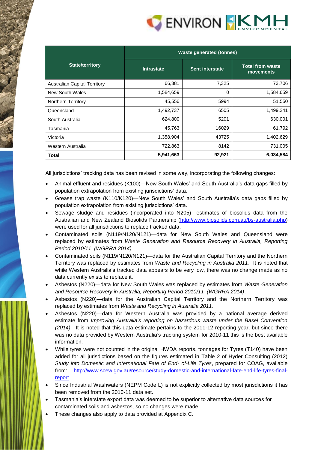

|                                     | <b>Waste generated (tonnes)</b> |                        |                                      |  |  |  |
|-------------------------------------|---------------------------------|------------------------|--------------------------------------|--|--|--|
| <b>State/territory</b>              | <b>Intrastate</b>               | <b>Sent interstate</b> | <b>Total from waste</b><br>movements |  |  |  |
| <b>Australian Capital Territory</b> | 66,381                          | 7,325                  | 73,706                               |  |  |  |
| New South Wales                     | 1,584,659                       | 0                      | 1,584,659                            |  |  |  |
| Northern Territory                  | 45,556                          | 5994                   | 51,550                               |  |  |  |
| Queensland                          | 1,492,737                       | 6505                   | 1,499,241                            |  |  |  |
| South Australia                     | 624,800                         | 5201                   | 630,001                              |  |  |  |
| Tasmania                            | 45,763                          | 16029                  | 61,792                               |  |  |  |
| Victoria                            | 1,358,904                       | 43725                  | 1,402,629                            |  |  |  |
| Western Australia                   | 722,863                         | 8142                   | 731,005                              |  |  |  |
| Total                               | 5,941,663                       | 92,921                 | 6,034,584                            |  |  |  |

All jurisdictions' tracking data has been revised in some way, incorporating the following changes:

- Animal effluent and residues (K100)—New South Wales' and South Australia's data gaps filled by population extrapolation from existing jurisdictions' data.
- Grease trap waste (K110/K120)—New South Wales' and South Australia's data gaps filled by population extrapolation from existing jurisdictions' data.
- Sewage sludge and residues (incorporated into N205)—estimates of biosolids data from the Australian and New Zealand Biosolids Partnership [\(http://www.biosolids.com.au/bs-australia.php\)](http://www.biosolids.com.au/bs-australia.php) were used for all jurisdictions to replace tracked data.
- Contaminated soils (N119/N120/N121)—data for New South Wales and Queensland were replaced by estimates from *Waste Generation and Resource Recovery in Australia, Reporting Period 2010/11 (WGRRA 2014)*
- Contaminated soils (N119/N120/N121)—data for the Australian Capital Territory and the Northern Territory was replaced by estimates from *Waste and Recycling in Australia 2011*. It is noted that while Western Australia's tracked data appears to be very low, there was no change made as no data currently exists to replace it.
- Asbestos (N220)—data for New South Wales was replaced by estimates from *Waste Generation and Resource Recovery in Australia, Reporting Period 2010/11 (WGRRA 2014)*.
- Asbestos (N220)—data for the Australian Capital Territory and the Northern Territory was replaced by estimates from *Waste and Recycling in Australia 2011*.
- Asbestos (N220)—data for Western Australia was provided by a national average derived estimate from *Improving Australia's reporting on hazardous waste under the Basel Convention (2014)*. It is noted that this data estimate pertains to the 2011-12 reporting year, but since there was no data provided by Western Australia's tracking system for 2010-11 this is the best available information.
- While tyres were not counted in the original HWDA reports, tonnages for Tyres (T140) have been added for all jurisdictions based on the figures estimated in Table 2 of Hyder Consulting (2012) *Study into Domestic and International Fate of End- of-Life Tyres*, prepared for COAG, available from: [http://www.scew.gov.au/resource/study-domestic-and-international-fate-end-life-tyres-final](http://www.scew.gov.au/resource/study-domestic-and-international-fate-end-life-tyres-final-report)[report](http://www.scew.gov.au/resource/study-domestic-and-international-fate-end-life-tyres-final-report)
- Since Industrial Washwaters (NEPM Code L) is not explicitly collected by most jurisdictions it has been removed from the 2010-11 data set.
- Tasmania's interstate export data was deemed to be superior to alternative data sources for contaminated soils and asbestos, so no changes were made.
- These changes also apply to data provided at Appendix C.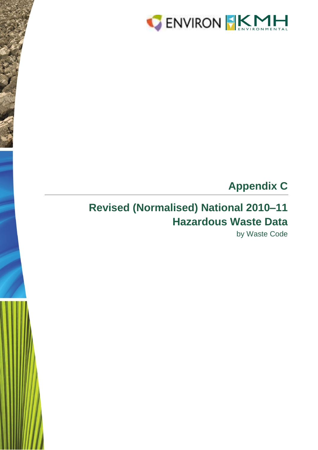

# **Appendix C**

# **Revised (Normalised) National 2010–11 Hazardous Waste Data**

by Waste Code